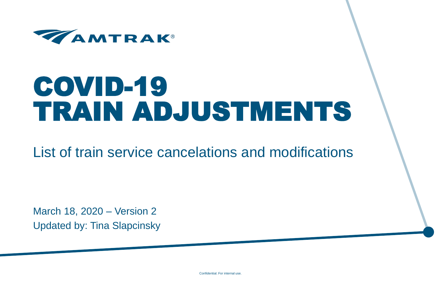

# COVID-19 TRAIN ADJUSTMENTS

List of train service cancelations and modifications

March 18, 2020 – Version 2 Updated by: Tina Slapcinsky

Confidential. For internal use.

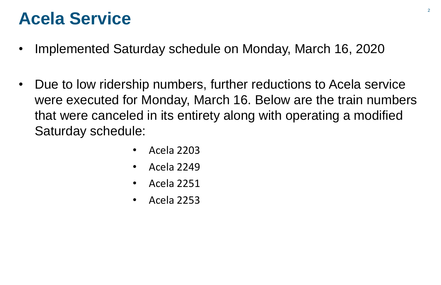### **Acela Service**

- Implemented Saturday schedule on Monday, March 16, 2020
- Due to low ridership numbers, further reductions to Acela service were executed for Monday, March 16. Below are the train numbers that were canceled in its entirety along with operating a modified Saturday schedule:
	- Acela 2203
	- Acela 2249
	- Acela 2251
	- Acela 2253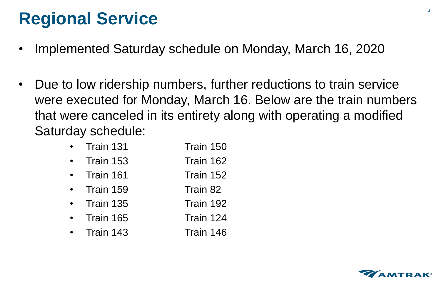# **Regional Service**

- Implemented Saturday schedule on Monday, March 16, 2020
- Due to low ridership numbers, further reductions to train service were executed for Monday, March 16. Below are the train numbers that were canceled in its entirety along with operating a modified Saturday schedule:

| • Train 131       | Train 150 |
|-------------------|-----------|
| Train 153         | Train 162 |
| • Train 161       | Train 152 |
| • Train 159       | Train 82  |
| $\cdot$ Train 135 | Train 192 |
| Train 165         | Train 124 |
| $\cdot$ Train 143 | Train 146 |

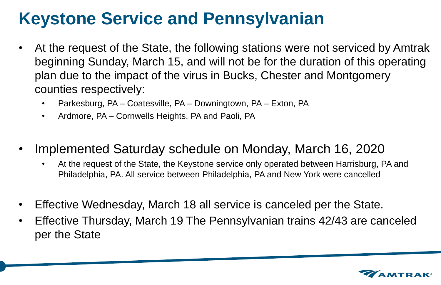# **Keystone Service and Pennsylvanian**

- At the request of the State, the following stations were not serviced by Amtrak beginning Sunday, March 15, and will not be for the duration of this operating plan due to the impact of the virus in Bucks, Chester and Montgomery counties respectively:
	- Parkesburg, PA Coatesville, PA Downingtown, PA Exton, PA
	- Ardmore, PA Cornwells Heights, PA and Paoli, PA
- Implemented Saturday schedule on Monday, March 16, 2020
	- At the request of the State, the Keystone service only operated between Harrisburg, PA and Philadelphia, PA. All service between Philadelphia, PA and New York were cancelled
- Effective Wednesday, March 18 all service is canceled per the State.
- Effective Thursday, March 19 The Pennsylvanian trains 42/43 are canceled per the State

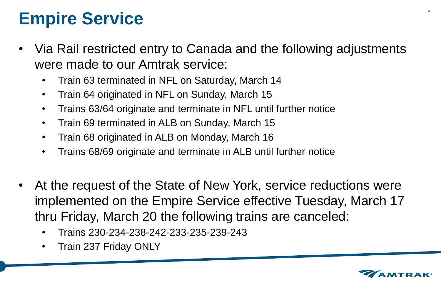# **Empire Service**

- Via Rail restricted entry to Canada and the following adjustments were made to our Amtrak service:
	- Train 63 terminated in NFL on Saturday, March 14
	- Train 64 originated in NFL on Sunday, March 15
	- Trains 63/64 originate and terminate in NFL until further notice
	- Train 69 terminated in ALB on Sunday, March 15
	- Train 68 originated in ALB on Monday, March 16
	- Trains 68/69 originate and terminate in ALB until further notice
- At the request of the State of New York, service reductions were implemented on the Empire Service effective Tuesday, March 17 thru Friday, March 20 the following trains are canceled:
	- Trains 230-234-238-242-233-235-239-243
	- Train 237 Friday ONLY

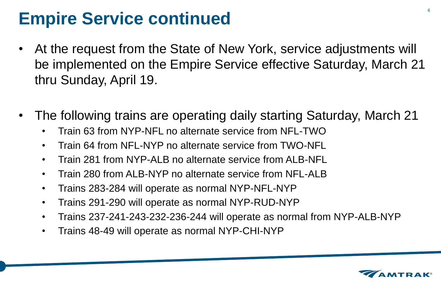# **Empire Service continued**

- At the request from the State of New York, service adjustments will be implemented on the Empire Service effective Saturday, March 21 thru Sunday, April 19.
- The following trains are operating daily starting Saturday, March 21
	- Train 63 from NYP-NFL no alternate service from NFL-TWO
	- Train 64 from NFL-NYP no alternate service from TWO-NFL
	- Train 281 from NYP-ALB no alternate service from ALB-NFL
	- Train 280 from ALB-NYP no alternate service from NFL-ALB
	- Trains 283-284 will operate as normal NYP-NFL-NYP
	- Trains 291-290 will operate as normal NYP-RUD-NYP
	- Trains 237-241-243-232-236-244 will operate as normal from NYP-ALB-NYP
	- Trains 48-49 will operate as normal NYP-CHI-NYP

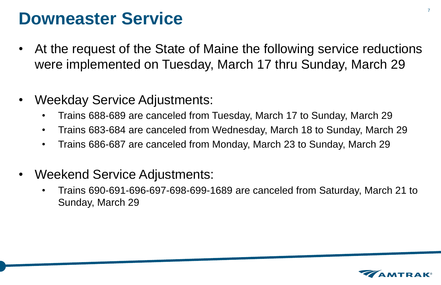### **Downeaster Service**

- At the request of the State of Maine the following service reductions were implemented on Tuesday, March 17 thru Sunday, March 29
- Weekday Service Adjustments:
	- Trains 688-689 are canceled from Tuesday, March 17 to Sunday, March 29
	- Trains 683-684 are canceled from Wednesday, March 18 to Sunday, March 29
	- Trains 686-687 are canceled from Monday, March 23 to Sunday, March 29
- Weekend Service Adjustments:
	- Trains 690-691-696-697-698-699-1689 are canceled from Saturday, March 21 to Sunday, March 29

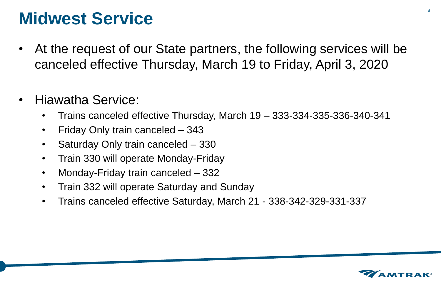### **Midwest Service**

- At the request of our State partners, the following services will be canceled effective Thursday, March 19 to Friday, April 3, 2020
- Hiawatha Service:
	- Trains canceled effective Thursday, March 19 333-334-335-336-340-341
	- Friday Only train canceled 343
	- Saturday Only train canceled 330
	- Train 330 will operate Monday-Friday
	- Monday-Friday train canceled 332
	- Train 332 will operate Saturday and Sunday
	- Trains canceled effective Saturday, March 21 338-342-329-331-337

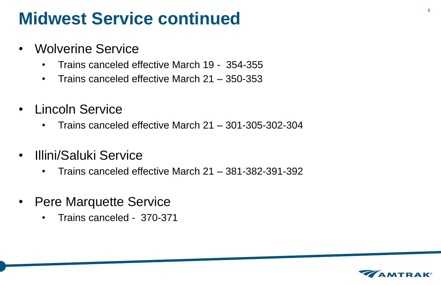### **Midwest Service continued**

- Wolverine Service
	- Trains canceled effective March 19 354-355
	- Trains canceled effective March 21 350-353
- Lincoln Service
	- Trains canceled effective March 21 301-305-302-304
- Illini/Saluki Service
	- Trains canceled effective March 21 381-382-391-392
- Pere Marquette Service
	- Trains canceled 370-371

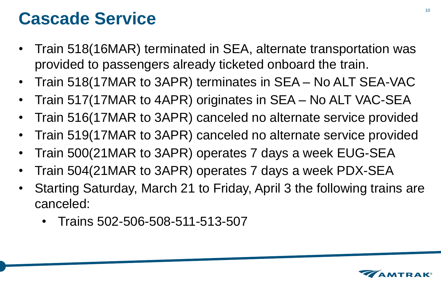### **Cascade Service**

- Train 518(16MAR) terminated in SEA, alternate transportation was provided to passengers already ticketed onboard the train.
- Train 518(17MAR to 3APR) terminates in SEA No ALT SEA-VAC
- Train 517(17MAR to 4APR) originates in SEA No ALT VAC-SEA
- Train 516(17MAR to 3APR) canceled no alternate service provided
- Train 519(17MAR to 3APR) canceled no alternate service provided
- Train 500(21MAR to 3APR) operates 7 days a week EUG-SEA
- Train 504(21MAR to 3APR) operates 7 days a week PDX-SEA
- Starting Saturday, March 21 to Friday, April 3 the following trains are canceled:
	- Trains 502-506-508-511-513-507

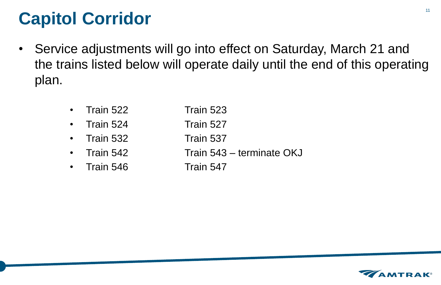# **Capitol Corridor**

- Service adjustments will go into effect on Saturday, March 21 and the trains listed below will operate daily until the end of this operating plan.
	- **Train 522 Train 523**
	- Train 524 Train 527
	- Train 532 Train 537
	-
	- Train 546 Train 547
- 
- 
- 
- Train 542 Train 543 terminate OKJ
	-